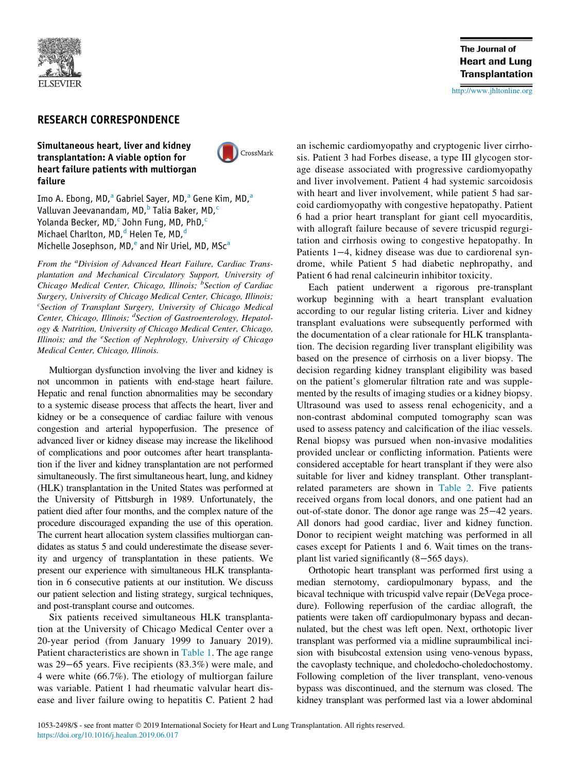

# RESEARCH CORRESPONDENCE

### Simultaneous heart, liver and kidney transplantation: A viable option for heart failure patients with multiorgan failure



Imo A. Ebong, MD,<sup>[a](#page-0-0)</sup> Gabriel Sayer, MD,<sup>a</sup> Gene Kim, MD,<sup>a</sup> Valluvan Jeevanandam, MD, <sup>[b](#page-0-1)</sup> Talia Baker, MD,<sup>[c](#page-0-2)</sup> Yolanda Be[c](#page-0-2)ker, MD,<sup>c</sup> John Fung, MD, PhD,<sup>c</sup> Michael Charlton, MD,<sup>[d](#page-0-3)</sup> Helen Te, MD,<sup>d</sup> Mich[e](#page-0-4)lle Josephson, MD,<sup>e</sup> [a](#page-0-0)nd Nir Uriel, MD, MSc<sup>a</sup>

<span id="page-0-2"></span><span id="page-0-1"></span><span id="page-0-0"></span>From the <sup>a</sup>Division of Advanced Heart Failure, Cardiac Transplantation and Mechanical Circulatory Support, University of Chicago Medical Center, Chicago, Illinois; <sup>b</sup>Section of Cardiac Surgery, University of Chicago Medical Center, Chicago, Illinois; <sup>c</sup> Section of Transplant Surgery, University of Chicago Medical Center, Chicago, Illinois; <sup>d</sup>Section of Gastroenterology, Hepatology & Nutrition, University of Chicago Medical Center, Chicago, Illinois; and the <sup>e</sup>Section of Nephrology, University of Chicago Medical Center, Chicago, Illinois.

<span id="page-0-4"></span><span id="page-0-3"></span>Multiorgan dysfunction involving the liver and kidney is not uncommon in patients with end-stage heart failure. Hepatic and renal function abnormalities may be secondary to a systemic disease process that affects the heart, liver and kidney or be a consequence of cardiac failure with venous congestion and arterial hypoperfusion. The presence of advanced liver or kidney disease may increase the likelihood of complications and poor outcomes after heart transplantation if the liver and kidney transplantation are not performed simultaneously. The first simultaneous heart, lung, and kidney (HLK) transplantation in the United States was performed at the University of Pittsburgh in 1989. Unfortunately, the patient died after four months, and the complex nature of the procedure discouraged expanding the use of this operation. The current heart allocation system classifies multiorgan candidates as status 5 and could underestimate the disease severity and urgency of transplantation in these patients. We present our experience with simultaneous HLK transplantation in 6 consecutive patients at our institution. We discuss our patient selection and listing strategy, surgical techniques, and post-transplant course and outcomes.

Six patients received simultaneous HLK transplantation at the University of Chicago Medical Center over a 20-year period (from January 1999 to January 2019). Patient characteristics are shown in [Table 1.](#page-1-0) The age range was 29−65 years. Five recipients (83.3%) were male, and 4 were white (66.7%). The etiology of multiorgan failure was variable. Patient 1 had rheumatic valvular heart disease and liver failure owing to hepatitis C. Patient 2 had **The Journal of Heart and Lung Transplantation** 

<http://www.jhltonline.org>

an ischemic cardiomyopathy and cryptogenic liver cirrhosis. Patient 3 had Forbes disease, a type III glycogen storage disease associated with progressive cardiomyopathy and liver involvement. Patient 4 had systemic sarcoidosis with heart and liver involvement, while patient 5 had sarcoid cardiomyopathy with congestive hepatopathy. Patient 6 had a prior heart transplant for giant cell myocarditis, with allograft failure because of severe tricuspid regurgitation and cirrhosis owing to congestive hepatopathy. In Patients 1−4, kidney disease was due to cardiorenal syndrome, while Patient 5 had diabetic nephropathy, and Patient 6 had renal calcineurin inhibitor toxicity.

Each patient underwent a rigorous pre-transplant workup beginning with a heart transplant evaluation according to our regular listing criteria. Liver and kidney transplant evaluations were subsequently performed with the documentation of a clear rationale for HLK transplantation. The decision regarding liver transplant eligibility was based on the presence of cirrhosis on a liver biopsy. The decision regarding kidney transplant eligibility was based on the patient's glomerular filtration rate and was supplemented by the results of imaging studies or a kidney biopsy. Ultrasound was used to assess renal echogenicity, and a non-contrast abdominal computed tomography scan was used to assess patency and calcification of the iliac vessels. Renal biopsy was pursued when non-invasive modalities provided unclear or conflicting information. Patients were considered acceptable for heart transplant if they were also suitable for liver and kidney transplant. Other transplantrelated parameters are shown in [Table 2.](#page-1-1) Five patients received organs from local donors, and one patient had an out-of-state donor. The donor age range was 25−42 years. All donors had good cardiac, liver and kidney function. Donor to recipient weight matching was performed in all cases except for Patients 1 and 6. Wait times on the transplant list varied significantly (8−565 days).

Orthotopic heart transplant was performed first using a median sternotomy, cardiopulmonary bypass, and the bicaval technique with tricuspid valve repair (DeVega procedure). Following reperfusion of the cardiac allograft, the patients were taken off cardiopulmonary bypass and decannulated, but the chest was left open. Next, orthotopic liver transplant was performed via a midline supraumbilical incision with bisubcostal extension using veno-venous bypass, the cavoplasty technique, and choledocho-choledochostomy. Following completion of the liver transplant, veno-venous bypass was discontinued, and the sternum was closed. The kidney transplant was performed last via a lower abdominal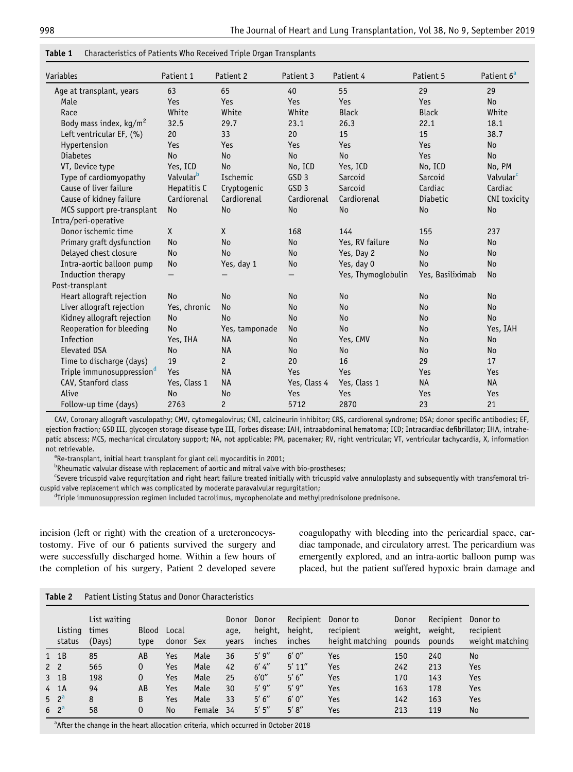| Variables                             | Patient 1             | Patient <sub>2</sub> | Patient 3                | Patient 4          | Patient 5        | Patient 6 <sup>a</sup> |  |
|---------------------------------------|-----------------------|----------------------|--------------------------|--------------------|------------------|------------------------|--|
| Age at transplant, years              | 63                    | 65                   | 40                       | 55                 | 29               | 29                     |  |
| Male                                  | Yes                   | Yes                  | Yes                      | Yes                | Yes              | <b>No</b>              |  |
| Race                                  | White                 | White                | White                    | <b>Black</b>       | <b>Black</b>     | White                  |  |
| Body mass index, $kg/m2$              | 32.5                  | 29.7                 | 23.1                     | 26.3               | 22.1             | 18.1                   |  |
| Left ventricular EF, (%)              | 20                    | 33                   | 20                       | 15                 | 15               | 38.7                   |  |
| Hypertension                          | Yes                   | Yes                  | Yes                      | Yes                | Yes              | <b>No</b>              |  |
| <b>Diabetes</b>                       | N <sub>o</sub>        | <b>No</b>            | <b>No</b>                | <b>No</b>          | Yes              | N <sub>o</sub>         |  |
| VT, Device type                       | Yes, ICD              | <b>No</b>            | No, ICD                  | Yes, ICD           | No, ICD          | No, PM                 |  |
| Type of cardiomyopathy                | Valvular <sup>b</sup> | Ischemic             | GSD <sub>3</sub>         | Sarcoid            | Sarcoid          | Valvular <sup>c</sup>  |  |
| Cause of liver failure                | Hepatitis C           | Cryptogenic          | GSD <sub>3</sub>         | Sarcoid            | Cardiac          | Cardiac                |  |
| Cause of kidney failure               | Cardiorenal           | Cardiorenal          | Cardiorenal              | Cardiorenal        | <b>Diabetic</b>  | CNI toxicity           |  |
| MCS support pre-transplant            | <b>No</b>             | <b>No</b>            | <b>No</b>                | <b>No</b>          | <b>No</b>        | <b>No</b>              |  |
| Intra/peri-operative                  |                       |                      |                          |                    |                  |                        |  |
| Donor ischemic time                   | X                     | $\times$             | 168                      | 144                | 155              | 237                    |  |
| Primary graft dysfunction             | N <sub>o</sub>        | <b>No</b>            | <b>No</b>                | Yes, RV failure    | <b>No</b>        | <b>No</b>              |  |
| Delayed chest closure                 | N <sub>o</sub>        | <b>No</b>            | <b>No</b>                | Yes, Day 2         | <b>No</b>        | <b>No</b>              |  |
| Intra-aortic balloon pump             | No                    | Yes, day 1           | No                       | Yes, day 0         | <b>No</b>        | <b>No</b>              |  |
| Induction therapy                     |                       |                      | $\overline{\phantom{0}}$ | Yes, Thymoglobulin | Yes, Basiliximab | <b>No</b>              |  |
| Post-transplant                       |                       |                      |                          |                    |                  |                        |  |
| Heart allograft rejection             | N <sub>o</sub>        | <b>No</b>            | <b>No</b>                | <b>No</b>          | <b>No</b>        | <b>No</b>              |  |
| Liver allograft rejection             | Yes, chronic          | <b>No</b>            | <b>No</b>                | <b>No</b>          | <b>No</b>        | <b>No</b>              |  |
| Kidney allograft rejection            | No                    | <b>No</b>            | <b>No</b>                | <b>No</b>          | <b>No</b>        | <b>No</b>              |  |
| Reoperation for bleeding              | <b>No</b>             | Yes, tamponade       | <b>No</b>                | <b>No</b>          | <b>No</b>        | Yes, IAH               |  |
| Infection                             | Yes, IHA              | <b>NA</b>            | <b>No</b>                | Yes, CMV           | <b>No</b>        | <b>No</b>              |  |
| <b>Elevated DSA</b>                   | N <sub>o</sub>        | <b>NA</b>            | <b>No</b>                | <b>No</b>          | <b>No</b>        | <b>No</b>              |  |
| Time to discharge (days)              | 19                    | $\overline{c}$       | 20                       | 16                 | 29               | 17                     |  |
| Triple immunosuppression <sup>d</sup> | Yes                   | <b>NA</b>            | Yes                      | Yes                | Yes              | Yes                    |  |
| CAV, Stanford class                   | Yes, Class 1          | <b>NA</b>            | Yes, Class 4             | Yes, Class 1       | <b>NA</b>        | <b>NA</b>              |  |
| Alive                                 | N <sub>o</sub>        | <b>No</b>            | Yes                      | Yes                | Yes              | Yes                    |  |
| Follow-up time (days)                 | 2763                  | $\overline{c}$       | 5712                     | 2870               | 23               | 21                     |  |

<span id="page-1-0"></span>

| <b>Table 1</b> Characteristics of Patients Who Received Triple Organ Transplants |  |
|----------------------------------------------------------------------------------|--|
|----------------------------------------------------------------------------------|--|

CAV, Coronary allograft vasculopathy; CMV, cytomegalovirus; CNI, calcineurin inhibitor; CRS, cardiorenal syndrome; DSA; donor specific antibodies; EF, ejection fraction; GSD III, glycogen storage disease type III, Forbes disease; IAH, intraabdominal hematoma; ICD; Intracardiac defibrillator; IHA, intrahepatic abscess; MCS, mechanical circulatory support; NA, not applicable; PM, pacemaker; RV, right ventricular; VT, ventricular tachycardia, X, information not retrievable.

<sup>a</sup>Re-transplant, initial heart transplant for giant cell myocarditis in 2001;

<sup>b</sup>Rheumatic valvular disease with replacement of aortic and mitral valve with bio-prostheses;

<span id="page-1-4"></span><span id="page-1-3"></span><span id="page-1-2"></span>c Severe tricuspid valve regurgitation and right heart failure treated initially with tricuspid valve annuloplasty and subsequently with transfemoral tricuspid valve replacement which was complicated by moderate paravalvular regurgitation;

<sup>d</sup>Triple immunosuppression regimen included tacrolimus, mycophenolate and methylprednisolone prednisone.

incision (left or right) with the creation of a ureteroneocystostomy. Five of our 6 patients survived the surgery and were successfully discharged home. Within a few hours of the completion of his surgery, Patient 2 developed severe

coagulopathy with bleeding into the pericardial space, cardiac tamponade, and circulatory arrest. The pericardium was emergently explored, and an intra-aortic balloon pump was placed, but the patient suffered hypoxic brain damage and

<span id="page-1-1"></span>

| Table 2 | Patient Listing Status and Donor Characteristics |  |  |
|---------|--------------------------------------------------|--|--|
|         |                                                  |  |  |

|                | Listing<br>status | List waiting<br>times<br>(Days) | <b>Blood</b><br>type | Local<br>donor | <b>Sex</b> | Donor<br>aqe,<br>vears | Donor<br>height,<br>inches | Recipient<br>height,<br>inches | Donor to<br>recipient<br>height matching | Donor<br>weight,<br>pounds | Recipient<br>weight,<br>pounds | Donor to<br>recipient<br>weight matching |
|----------------|-------------------|---------------------------------|----------------------|----------------|------------|------------------------|----------------------------|--------------------------------|------------------------------------------|----------------------------|--------------------------------|------------------------------------------|
|                | $1 \t1B$          | 85                              | AB                   | Yes            | Male       | 36                     | 5'9''                      | 6'0''                          | Yes                                      | 150                        | 240                            | No                                       |
| 2 <sub>2</sub> |                   | 565                             | 0                    | Yes            | Male       | 42                     | $6'$ 4"                    | 5' 11''                        | Yes                                      | 242                        | 213                            | Yes                                      |
|                | $3$ 1B            | 198                             | 0                    | Yes            | Male       | 25                     | 6'0''                      | 5' 6''                         | Yes                                      | 170                        | 143                            | Yes                                      |
|                | 4 1 A             | 94                              | AB                   | Yes            | Male       | 30                     | 5'9''                      | 5'9''                          | Yes                                      | 163                        | 178                            | Yes                                      |
|                | $5 \t2^d$         | 8                               | B                    | Yes            | Male       | 33                     | 5' 6''                     | 6'0''                          | Yes                                      | 142                        | 163                            | Yes                                      |
|                | $6^{2}$           | 58                              | 0                    | No             | Female     | 34                     | 5'5''                      | 5' 8''                         | Yes                                      | 213                        | 119                            | No                                       |

<span id="page-1-5"></span><sup>a</sup>After the change in the heart allocation criteria, which occurred in October 2018